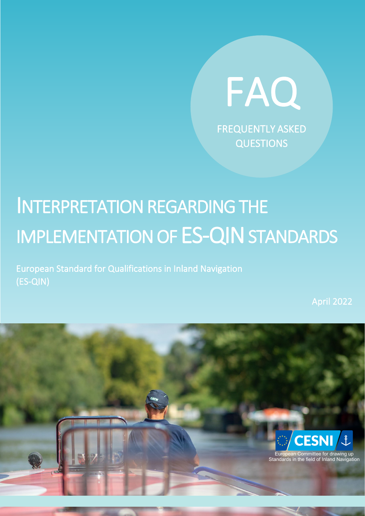

# INTERPRETATION REGARDING THE IMPLEMENTATION OF ES-QIN STANDARDS

European Standard for Qualifications in Inland Navigation (ES-QIN)

April 2022

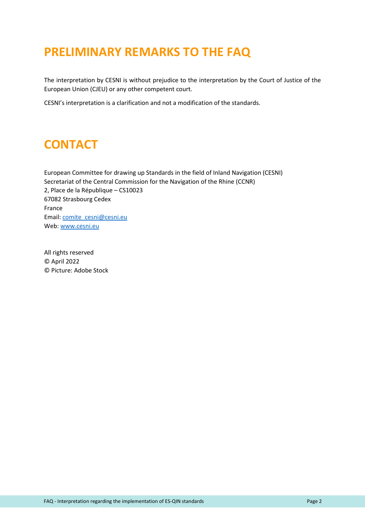#### <span id="page-1-0"></span>**PRELIMINARY REMARKS TO THE FAQ**

The interpretation by CESNI is without prejudice to the interpretation by the Court of Justice of the European Union (CJEU) or any other competent court.

CESNI's interpretation is a clarification and not a modification of the standards.

#### <span id="page-1-1"></span>**CONTACT**

European Committee for drawing up Standards in the field of Inland Navigation (CESNI) Secretariat of the Central Commission for the Navigation of the Rhine (CCNR) 2, Place de la République – CS10023 67082 Strasbourg Cedex France Email: comite\_cesni@cesni.eu Web: [www.cesni.eu](https://www.cesni.eu/)

All rights reserved © April 2022 © Picture: Adobe Stock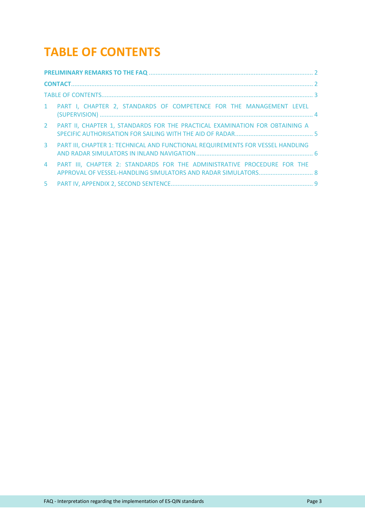### **TABLE OF CONTENTS**

<span id="page-2-0"></span>

|                | 1 PART I, CHAPTER 2, STANDARDS OF COMPETENCE FOR THE MANAGEMENT LEVEL          |  |  |  |  |  |
|----------------|--------------------------------------------------------------------------------|--|--|--|--|--|
| $2^{\circ}$    | PART II, CHAPTER 1, STANDARDS FOR THE PRACTICAL EXAMINATION FOR OBTAINING A    |  |  |  |  |  |
| $\mathbf{3}$   | PART III, CHAPTER 1: TECHNICAL AND FUNCTIONAL REQUIREMENTS FOR VESSEL HANDLING |  |  |  |  |  |
| $\overline{4}$ | PART III, CHAPTER 2: STANDARDS FOR THE ADMINISTRATIVE PROCEDURE FOR THE        |  |  |  |  |  |
| 5.             |                                                                                |  |  |  |  |  |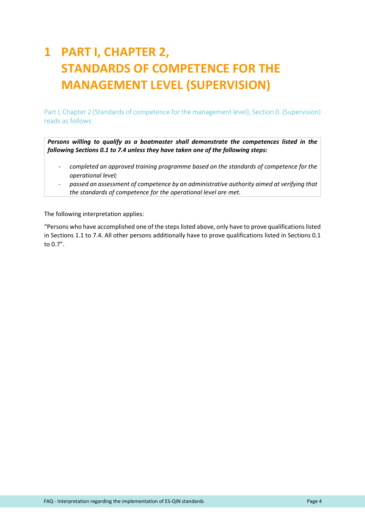# <span id="page-3-0"></span>**1 PART I, CHAPTER 2, STANDARDS OF COMPETENCE FOR THE MANAGEMENT LEVEL (SUPERVISION)**

Part I, Chapter 2 (Standards of competence for the management level), Section 0. (Supervision) reads as follows:

*Persons willing to qualify as a boatmaster shall demonstrate the competences listed in the following Sections 0.1 to 7.4 unless they have taken one of the following steps:*

- *completed an approved training programme based on the standards of competence for the operational level;*
- *passed an assessment of competence by an administrative authority aimed at verifying that the standards of competence for the operational level are met.*

The following interpretation applies:

"Persons who have accomplished one of the steps listed above, only have to prove qualifications listed in Sections 1.1 to 7.4. All other persons additionally have to prove qualifications listed in Sections 0.1 to 0.7".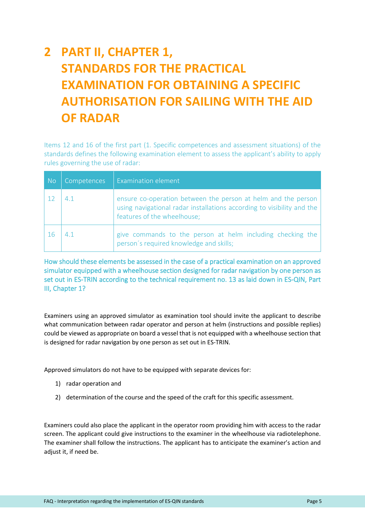# <span id="page-4-0"></span>**2 PART II, CHAPTER 1, STANDARDS FOR THE PRACTICAL EXAMINATION FOR OBTAINING A SPECIFIC AUTHORISATION FOR SAILING WITH THE AID OF RADAR**

Items 12 and 16 of the first part (1. Specific competences and assessment situations) of the standards defines the following examination element to assess the applicant's ability to apply rules governing the use of radar:

| <b>No</b> | <b>Competences</b> | Examination element                                                                                                                                                    |
|-----------|--------------------|------------------------------------------------------------------------------------------------------------------------------------------------------------------------|
|           | 4 1                | ensure co-operation between the person at helm and the person<br>using navigational radar installations according to visibility and the<br>features of the wheelhouse; |
|           | 4 1                | give commands to the person at helm including checking the<br>person's required knowledge and skills;                                                                  |

How should these elements be assessed in the case of a practical examination on an approved simulator equipped with a wheelhouse section designed for radar navigation by one person as set out in ES-TRIN according to the technical requirement no. 13 as laid down in ES-QIN, Part III, Chapter 1?

Examiners using an approved simulator as examination tool should invite the applicant to describe what communication between radar operator and person at helm (instructions and possible replies) could be viewed as appropriate on board a vessel that is not equipped with a wheelhouse section that is designed for radar navigation by one person as set out in ES-TRIN.

Approved simulators do not have to be equipped with separate devices for:

- 1) radar operation and
- 2) determination of the course and the speed of the craft for this specific assessment.

Examiners could also place the applicant in the operator room providing him with access to the radar screen. The applicant could give instructions to the examiner in the wheelhouse via radiotelephone. The examiner shall follow the instructions. The applicant has to anticipate the examiner's action and adjust it, if need be.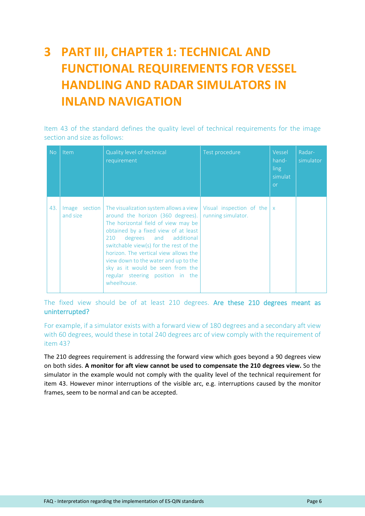# <span id="page-5-0"></span>**3 PART III, CHAPTER 1: TECHNICAL AND FUNCTIONAL REQUIREMENTS FOR VESSEL HANDLING AND RADAR SIMULATORS IN INLAND NAVIGATION**

Item 43 of the standard defines the quality level of technical requirements for the image section and size as follows:

| <b>No</b> | Item     | Quality level of technical<br>requirement                                                                                                                                                                                                                                                                                                                                                                                                                      | Test procedure     | Vessel<br>hand-<br>ling<br>simulat<br>or | Radar-<br>simulator |
|-----------|----------|----------------------------------------------------------------------------------------------------------------------------------------------------------------------------------------------------------------------------------------------------------------------------------------------------------------------------------------------------------------------------------------------------------------------------------------------------------------|--------------------|------------------------------------------|---------------------|
| 43.       | and size | Image section   The visualization system allows a view   Visual inspection of the $ x $<br>around the horizon (360 degrees).<br>The horizontal field of view may be<br>obtained by a fixed view of at least<br>degrees and additional<br>210<br>switchable view(s) for the rest of the<br>horizon. The vertical view allows the<br>view down to the water and up to the<br>sky as it would be seen from the<br>regular steering position in the<br>wheelhouse. | running simulator. |                                          |                     |

The fixed view should be of at least 210 degrees. Are these 210 degrees meant as uninterrupted?

For example, if a simulator exists with a forward view of 180 degrees and a secondary aft view with 60 degrees, would these in total 240 degrees arc of view comply with the requirement of item 43?

The 210 degrees requirement is addressing the forward view which goes beyond a 90 degrees view on both sides. **A monitor for aft view cannot be used to compensate the 210 degrees view.** So the simulator in the example would not comply with the quality level of the technical requirement for item 43. However minor interruptions of the visible arc, e.g. interruptions caused by the monitor frames, seem to be normal and can be accepted.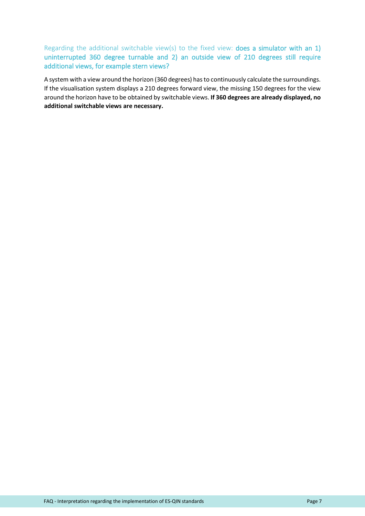Regarding the additional switchable view(s) to the fixed view: **does a simulator with an 1)** uninterrupted 360 degree turnable and 2) an outside view of 210 degrees still require additional views, for example stern views?

A system with a view around the horizon (360 degrees) has to continuously calculate the surroundings. If the visualisation system displays a 210 degrees forward view, the missing 150 degrees for the view around the horizon have to be obtained by switchable views. **If 360 degrees are already displayed, no additional switchable views are necessary.**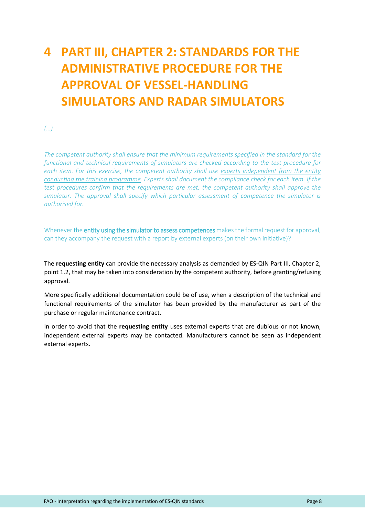# <span id="page-7-0"></span>**4 PART III, CHAPTER 2: STANDARDS FOR THE ADMINISTRATIVE PROCEDURE FOR THE APPROVAL OF VESSEL-HANDLING SIMULATORS AND RADAR SIMULATORS**

*(…)*

*The competent authority shall ensure that the minimum requirements specified in the standard for the functional and technical requirements of simulators are checked according to the test procedure for each item. For this exercise, the competent authority shall use experts independent from the entity conducting the training programme. Experts shall document the compliance check for each item. If the test procedures confirm that the requirements are met, the competent authority shall approve the simulator. The approval shall specify which particular assessment of competence the simulator is authorised for.*

Whenever the entity using the simulator to assess competences makes the formal request for approval, can they accompany the request with a report by external experts (on their own initiative)?

The **requesting entity** can provide the necessary analysis as demanded by ES-QIN Part III, Chapter 2, point 1.2, that may be taken into consideration by the competent authority, before granting/refusing approval.

More specifically additional documentation could be of use, when a description of the technical and functional requirements of the simulator has been provided by the manufacturer as part of the purchase or regular maintenance contract.

In order to avoid that the **requesting entity** uses external experts that are dubious or not known, independent external experts may be contacted. Manufacturers cannot be seen as independent external experts.